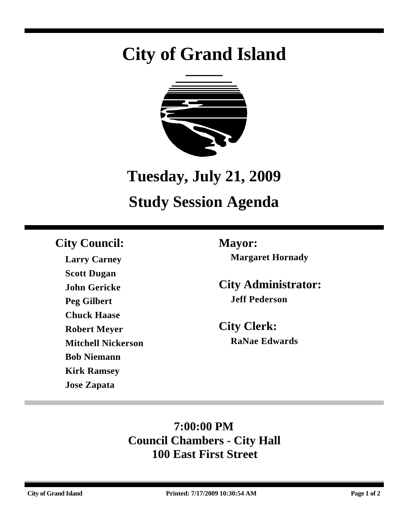# **City of Grand Island**



## **Tuesday, July 21, 2009**

## **Study Session Agenda**

## **City Council: Mayor:**

**Larry Carney Scott Dugan John Gericke Peg Gilbert Chuck Haase Robert Meyer Mitchell Nickerson Bob Niemann Kirk Ramsey Jose Zapata**

**Margaret Hornady**

**City Administrator: Jeff Pederson**

**City Clerk: RaNae Edwards**

## **7:00:00 PM Council Chambers - City Hall 100 East First Street**